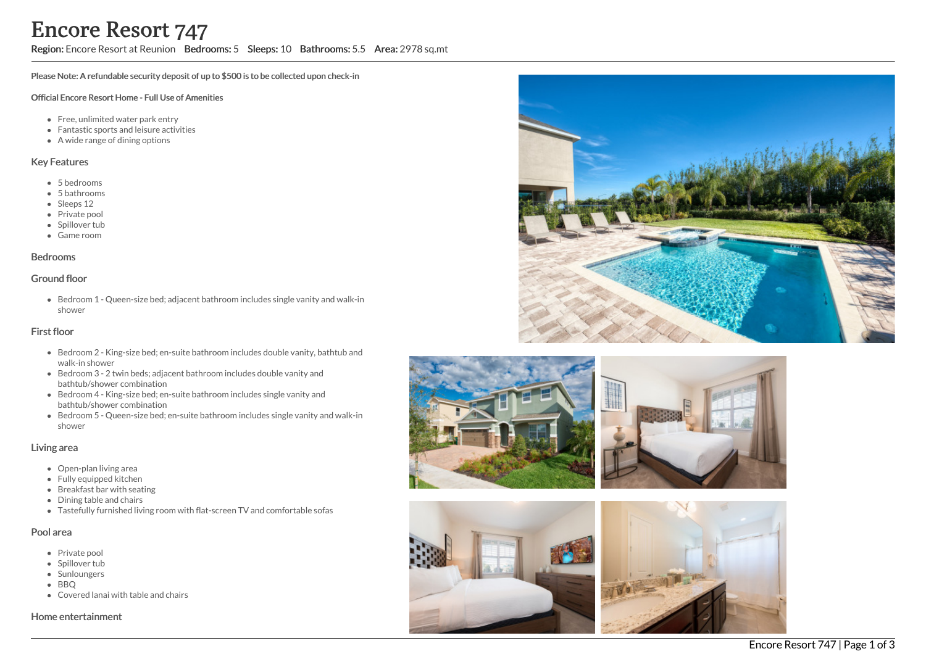# Region: Encore Resort at Reunion Bedrooms: 5 Sleeps: 10 Bathrooms: 5.5 Area: 2978 sq.mt

Please Note: A refundable security deposit of up to \$500 is to be collected upon check-in

#### Official Encore Resort Home - Full Use of Amenities

- Free, unlimited water park entry
- Fantastic sports and leisure activities
- A wide range of dining options

#### Key Features

- 5 bedrooms
- 5 bathrooms
- Sleeps 12
- Private pool
- Spillover tub
- Game room

#### Bedrooms

## Ground floor

Bedroom 1 - Queen-size bed; adjacent bathroom includes single vanity and walk-in shower

#### First floor

- Bedroom 2 King-size bed; en-suite bathroom includes double vanity, bathtub and walk-in shower
- Bedroom 3 2 twin beds; adjacent bathroom includes double vanity and bathtub/shower combination
- Bedroom 4 King-size bed; en-suite bathroom includes single vanity and bathtub/shower combination
- Bedroom 5 Queen-size bed; en-suite bathroom includes single vanity and walk-in shower

#### Living area

- Open-plan living area
- Fully equipped kitchen
- Breakfast bar with seating
- Dining table and chairs
- Tastefully furnished living room with flat-screen TV and comfortable sofas

#### Pool area

- Private pool
- Spillover tub
- Sunloungers
- BBQ
- Covered lanai with table and chairs

#### Home entertainment







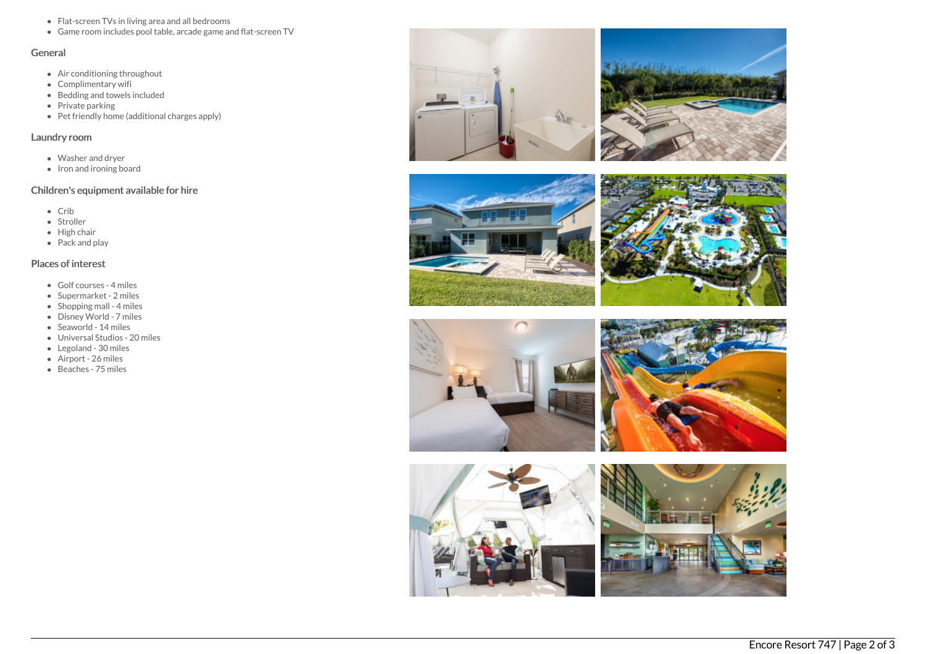- Flat-screen TVs in living area and all bedrooms
- Game room includes pool table, arcade game and flat-screen TV

## General

- Air conditioning throughout
- Complimentary wifi
- Bedding and towels included
- Private parking
- Pet friendly home (additional charges apply)

## Laundry room

- Washer and dryer
- Iron and ironing board

# Children's equipment available for hire

- $\bullet$  Crib
- Stroller
- $\bullet$  High chair
- Pack and play

# Places of interest

- Golf courses 4 miles
- Supermarket 2 miles
- $\bullet$  Shopping mall 4 miles
- Disney World 7 miles
- Seaworld 14 miles
- Universal Studios 20 miles
- Legoland 30 miles
- Airport 26 miles
- Beaches 75 miles